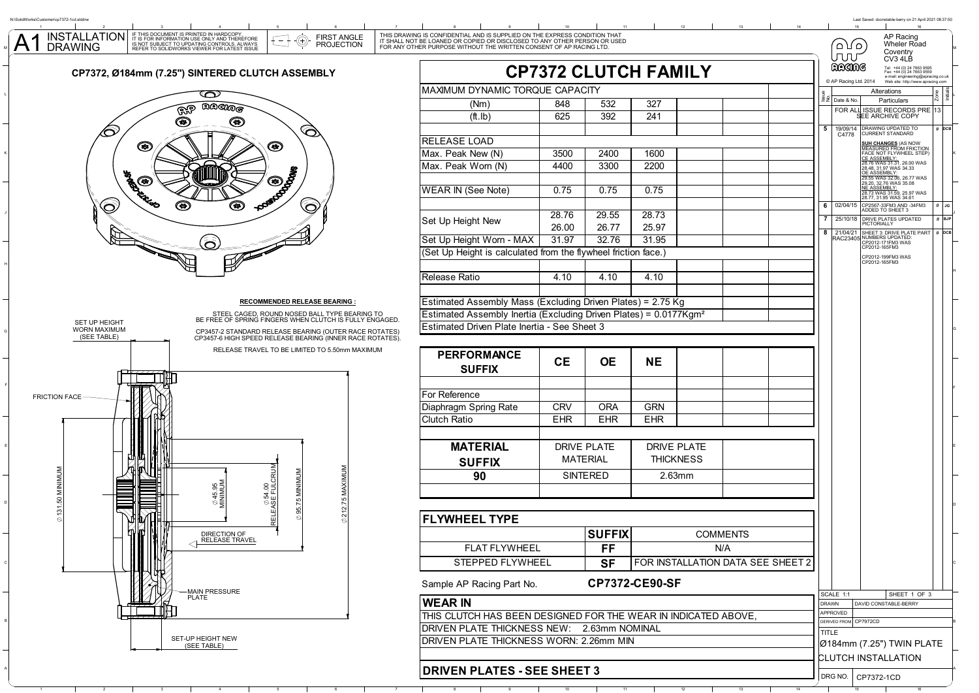L

K

J

C

B

SET-UP HEIGHT NEW (SEE TABLE)

A

#**JG**

## DCB

Zone

#**BJP** J

H

B

A

## DCB

TITLE

DRG NO.

14 14 15 16 16

CP7372-1CD

Ø184mm (7.25") TWIN PLATE CLUTCH INSTALLATION

CP7972CD



1 2 3 4 5 6 7 8 9 10 11 12 3 **DRIVEN PLATES - SEE SHEET 3**

DRIVEN PLATE THICKNESS WORN: 2.26mm MIN

DRIVEN PLATE THICKNESS NEW: 2.63mm NOMINAL

7 8 9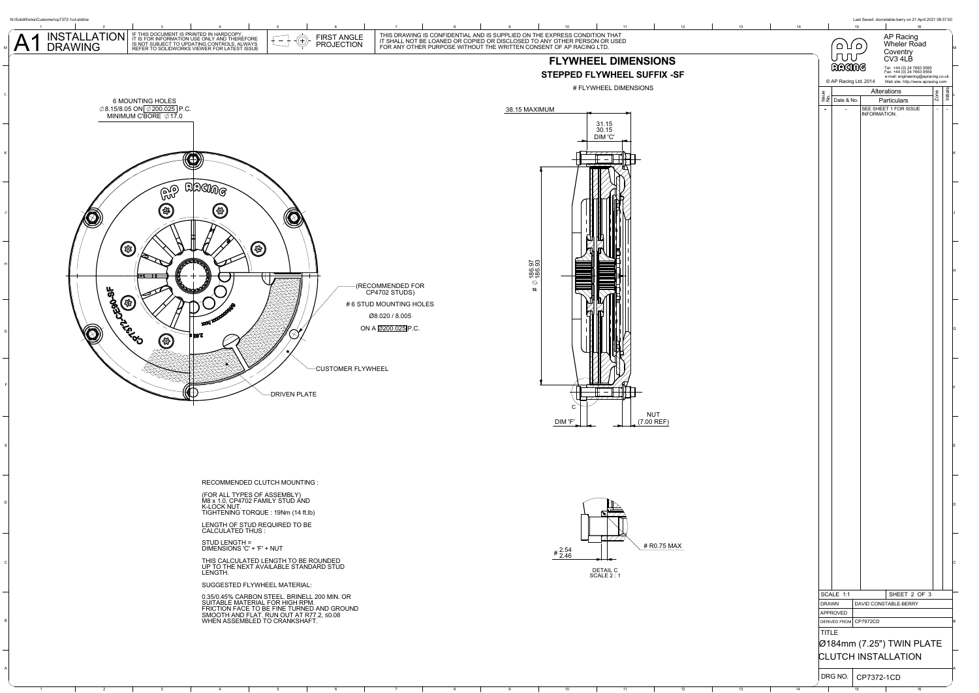

1 2 3 4 5 6 7 8 9 10 11 12 3

14 14 15 16 16